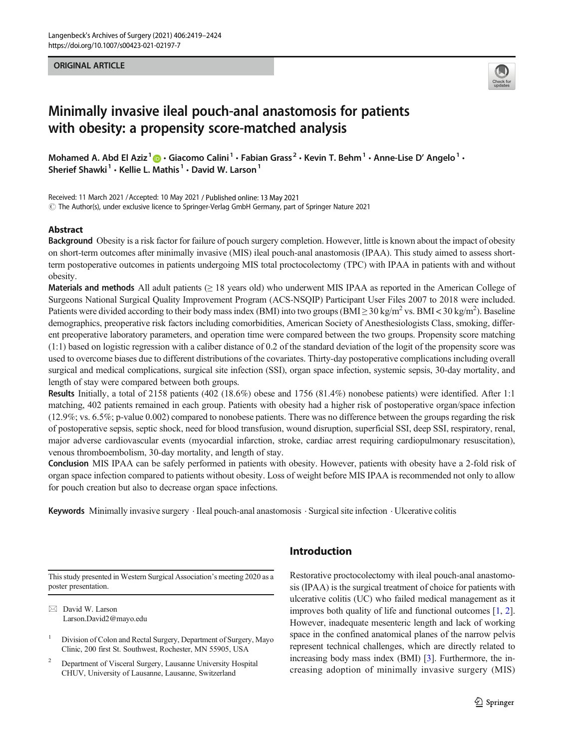#### ORIGINAL ARTICLE



# Minimally invasive ileal pouch-anal anastomosis for patients with obesity: a propensity score-matched analysis

Mohamed A. Abd El Aziz<sup>1</sup>  $\odot$  · Giacomo Calini<sup>1</sup> · Fabian Grass<sup>2</sup> · Kevin T. Behm<sup>1</sup> · Anne-Lise D' Angelo<sup>1</sup> · Sherief Shawki<sup>1</sup>  $\cdot$  Kellie L. Mathis<sup>1</sup>  $\cdot$  David W. Larson<sup>1</sup>

Received: 11 March 2021 / Accepted: 10 May 2021 / Published online: 13 May 2021  $\degree$  The Author(s), under exclusive licence to Springer-Verlag GmbH Germany, part of Springer Nature 2021

### Abstract

Background Obesity is a risk factor for failure of pouch surgery completion. However, little is known about the impact of obesity on short-term outcomes after minimally invasive (MIS) ileal pouch-anal anastomosis (IPAA). This study aimed to assess shortterm postoperative outcomes in patients undergoing MIS total proctocolectomy (TPC) with IPAA in patients with and without obesity.

Materials and methods All adult patients  $(≥ 18$  years old) who underwent MIS IPAA as reported in the American College of Surgeons National Surgical Quality Improvement Program (ACS-NSQIP) Participant User Files 2007 to 2018 were included. Patients were divided according to their body mass index (BMI) into two groups (BMI  $\geq$  30 kg/m<sup>2</sup> vs. BMI < 30 kg/m<sup>2</sup>). Baseline demographics, preoperative risk factors including comorbidities, American Society of Anesthesiologists Class, smoking, different preoperative laboratory parameters, and operation time were compared between the two groups. Propensity score matching (1:1) based on logistic regression with a caliber distance of 0.2 of the standard deviation of the logit of the propensity score was used to overcome biases due to different distributions of the covariates. Thirty-day postoperative complications including overall surgical and medical complications, surgical site infection (SSI), organ space infection, systemic sepsis, 30-day mortality, and length of stay were compared between both groups.

Results Initially, a total of 2158 patients (402 (18.6%) obese and 1756 (81.4%) nonobese patients) were identified. After 1:1 matching, 402 patients remained in each group. Patients with obesity had a higher risk of postoperative organ/space infection (12.9%; vs. 6.5%; p-value 0.002) compared to nonobese patients. There was no difference between the groups regarding the risk of postoperative sepsis, septic shock, need for blood transfusion, wound disruption, superficial SSI, deep SSI, respiratory, renal, major adverse cardiovascular events (myocardial infarction, stroke, cardiac arrest requiring cardiopulmonary resuscitation), venous thromboembolism, 30-day mortality, and length of stay.

Conclusion MIS IPAA can be safely performed in patients with obesity. However, patients with obesity have a 2-fold risk of organ space infection compared to patients without obesity. Loss of weight before MIS IPAA is recommended not only to allow for pouch creation but also to decrease organ space infections.

Keywords Minimally invasive surgery  $\cdot$  Ileal pouch-anal anastomosis  $\cdot$  Surgical site infection  $\cdot$  Ulcerative colitis

This study presented in Western Surgical Association's meeting 2020 as a poster presentation.

 $\boxtimes$  David W. Larson [Larson.David2@mayo.edu](mailto:Larson.David2@mayo.edu)

<sup>1</sup> Division of Colon and Rectal Surgery, Department of Surgery, Mayo Clinic, 200 first St. Southwest, Rochester, MN 55905, USA

<sup>2</sup> Department of Visceral Surgery, Lausanne University Hospital CHUV, University of Lausanne, Lausanne, Switzerland

# Introduction

Restorative proctocolectomy with ileal pouch-anal anastomosis (IPAA) is the surgical treatment of choice for patients with ulcerative colitis (UC) who failed medical management as it improves both quality of life and functional outcomes [[1](#page-4-0), [2\]](#page-4-0). However, inadequate mesenteric length and lack of working space in the confined anatomical planes of the narrow pelvis represent technical challenges, which are directly related to increasing body mass index (BMI) [[3\]](#page-4-0). Furthermore, the increasing adoption of minimally invasive surgery (MIS)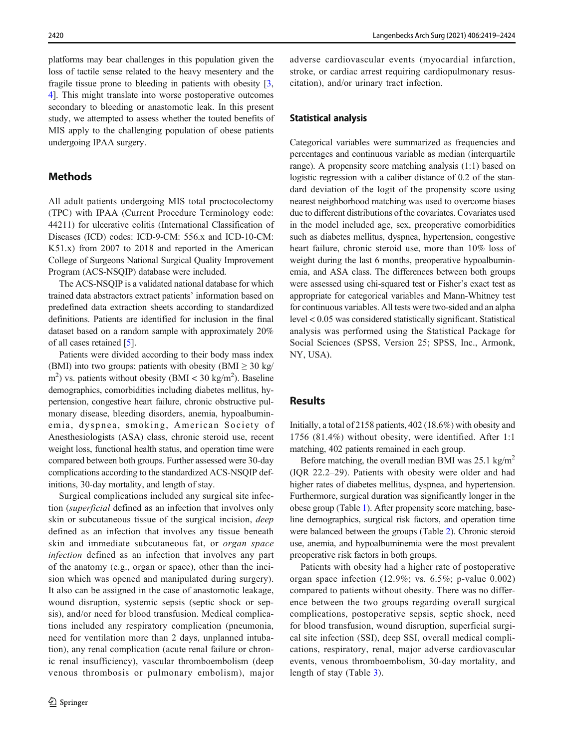platforms may bear challenges in this population given the loss of tactile sense related to the heavy mesentery and the fragile tissue prone to bleeding in patients with obesity [[3,](#page-4-0) [4\]](#page-4-0). This might translate into worse postoperative outcomes secondary to bleeding or anastomotic leak. In this present study, we attempted to assess whether the touted benefits of MIS apply to the challenging population of obese patients undergoing IPAA surgery.

## **Methods**

All adult patients undergoing MIS total proctocolectomy (TPC) with IPAA (Current Procedure Terminology code: 44211) for ulcerative colitis (International Classification of Diseases (ICD) codes: ICD-9-CM: 556.x and ICD-10-CM: K51.x) from 2007 to 2018 and reported in the American College of Surgeons National Surgical Quality Improvement Program (ACS-NSQIP) database were included.

The ACS-NSQIP is a validated national database for which trained data abstractors extract patients' information based on predefined data extraction sheets according to standardized definitions. Patients are identified for inclusion in the final dataset based on a random sample with approximately 20% of all cases retained [[5\]](#page-5-0).

Patients were divided according to their body mass index (BMI) into two groups: patients with obesity (BMI  $\geq$  30 kg/  $\text{m}^2$ ) vs. patients without obesity (BMI < 30 kg/m<sup>2</sup>). Baseline demographics, comorbidities including diabetes mellitus, hypertension, congestive heart failure, chronic obstructive pulmonary disease, bleeding disorders, anemia, hypoalbuminemia, dyspnea, smoking, American Society of Anesthesiologists (ASA) class, chronic steroid use, recent weight loss, functional health status, and operation time were compared between both groups. Further assessed were 30-day complications according to the standardized ACS-NSQIP definitions, 30-day mortality, and length of stay.

Surgical complications included any surgical site infection (superficial defined as an infection that involves only skin or subcutaneous tissue of the surgical incision, deep defined as an infection that involves any tissue beneath skin and immediate subcutaneous fat, or organ space infection defined as an infection that involves any part of the anatomy (e.g., organ or space), other than the incision which was opened and manipulated during surgery). It also can be assigned in the case of anastomotic leakage, wound disruption, systemic sepsis (septic shock or sepsis), and/or need for blood transfusion. Medical complications included any respiratory complication (pneumonia, need for ventilation more than 2 days, unplanned intubation), any renal complication (acute renal failure or chronic renal insufficiency), vascular thromboembolism (deep venous thrombosis or pulmonary embolism), major adverse cardiovascular events (myocardial infarction, stroke, or cardiac arrest requiring cardiopulmonary resuscitation), and/or urinary tract infection.

#### Statistical analysis

Categorical variables were summarized as frequencies and percentages and continuous variable as median (interquartile range). A propensity score matching analysis (1:1) based on logistic regression with a caliber distance of 0.2 of the standard deviation of the logit of the propensity score using nearest neighborhood matching was used to overcome biases due to different distributions of the covariates. Covariates used in the model included age, sex, preoperative comorbidities such as diabetes mellitus, dyspnea, hypertension, congestive heart failure, chronic steroid use, more than 10% loss of weight during the last 6 months, preoperative hypoalbuminemia, and ASA class. The differences between both groups were assessed using chi-squared test or Fisher's exact test as appropriate for categorical variables and Mann-Whitney test for continuous variables. All tests were two-sided and an alpha level < 0.05 was considered statistically significant. Statistical analysis was performed using the Statistical Package for Social Sciences (SPSS, Version 25; SPSS, Inc., Armonk, NY, USA).

#### Results

Initially, a total of 2158 patients, 402 (18.6%) with obesity and 1756 (81.4%) without obesity, were identified. After 1:1 matching, 402 patients remained in each group.

Before matching, the overall median BMI was  $25.1 \text{ kg/m}^2$ (IQR 22.2–29). Patients with obesity were older and had higher rates of diabetes mellitus, dyspnea, and hypertension. Furthermore, surgical duration was significantly longer in the obese group (Table [1\)](#page-2-0). After propensity score matching, baseline demographics, surgical risk factors, and operation time were balanced between the groups (Table [2\)](#page-3-0). Chronic steroid use, anemia, and hypoalbuminemia were the most prevalent preoperative risk factors in both groups.

Patients with obesity had a higher rate of postoperative organ space infection (12.9%; vs. 6.5%; p-value 0.002) compared to patients without obesity. There was no difference between the two groups regarding overall surgical complications, postoperative sepsis, septic shock, need for blood transfusion, wound disruption, superficial surgical site infection (SSI), deep SSI, overall medical complications, respiratory, renal, major adverse cardiovascular events, venous thromboembolism, 30-day mortality, and length of stay (Table [3\)](#page-4-0).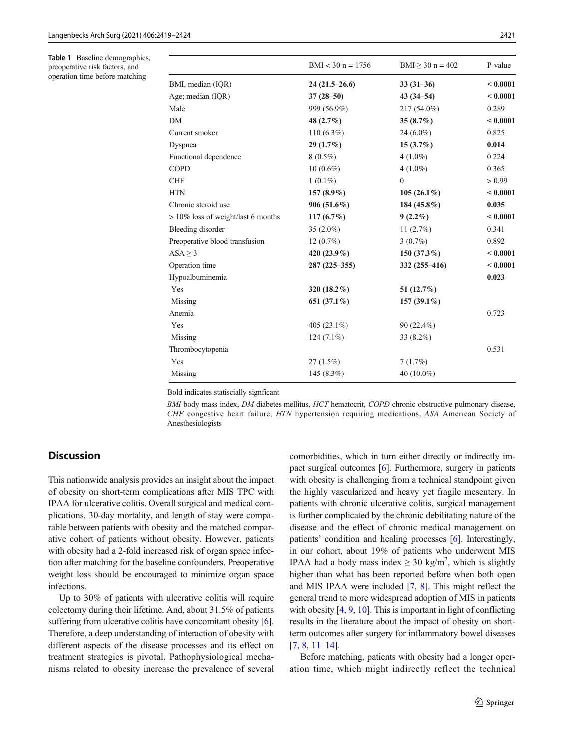<span id="page-2-0"></span>Table 1 Baseline demographics, preoperative risk factors, and operation time before matching

|                                    | $BMI < 30 n = 1756$ | $BMI \ge 30$ n = 402 | P-value  |
|------------------------------------|---------------------|----------------------|----------|
| BMI, median (IQR)                  | $24(21.5-26.6)$     | $33(31-36)$          | < 0.0001 |
| Age; median (IQR)                  | $37(28 - 50)$       | $43(34 - 54)$        | < 0.0001 |
| Male                               | 999 (56.9%)         | 217 (54.0%)          | 0.289    |
| DΜ                                 | 48 (2.7%)           | 35 $(8.7\%)$         | < 0.0001 |
| Current smoker                     | $110(6.3\%)$        | $24(6.0\%)$          | 0.825    |
| Dyspnea                            | 29(1.7%)            | $15(3.7\%)$          | 0.014    |
| Functional dependence              | $8(0.5\%)$          | $4(1.0\%)$           | 0.224    |
| COPD                               | $10(0.6\%)$         | $4(1.0\%)$           | 0.365    |
| CHF                                | $1(0.1\%)$          | $\theta$             | > 0.99   |
| HTN                                | 157 $(8.9\%)$       | $105(26.1\%)$        | < 0.0001 |
| Chronic steroid use                | $906(51.6\%)$       | 184 (45.8%)          | 0.035    |
| > 10% loss of weight/last 6 months | $117(6.7\%)$        | $9(2.2\%)$           | < 0.0001 |
| <b>Bleeding disorder</b>           | 35 $(2.0\%)$        | 11(2.7%)             | 0.341    |
| Preoperative blood transfusion     | $12(0.7\%)$         | $3(0.7\%)$           | 0.892    |
| $ASA \geq 3$                       | 420 (23.9%)         | 150 $(37.3\%)$       | < 0.0001 |
| Operation time                     | 287 (225–355)       | 332 (255–416)        | < 0.0001 |
| Hypoalbuminemia                    |                     |                      | 0.023    |
| Yes                                | 320 (18.2%)         | 51 $(12.7%)$         |          |
| Missing                            | 651 $(37.1\%)$      | 157 $(39.1\%)$       |          |
| Anemia                             |                     |                      | 0.723    |
| Yes                                | 405 $(23.1\%)$      | $90(22.4\%)$         |          |
| Missing                            | $124(7.1\%)$        | 33 (8.2%)            |          |
| Thrombocytopenia                   |                     |                      | 0.531    |
| Yes                                | 27(1.5%)            | 7(1.7%)              |          |
| Missing                            | 145 $(8.3\%)$       | 40 (10.0%)           |          |

Bold indicates statiscially signficant

BMI body mass index, DM diabetes mellitus, HCT hematocrit, COPD chronic obstructive pulmonary disease, CHF congestive heart failure, HTN hypertension requiring medications, ASA American Society of Anesthesiologists

## **Discussion**

This nationwide analysis provides an insight about the impact of obesity on short-term complications after MIS TPC with IPAA for ulcerative colitis. Overall surgical and medical complications, 30-day mortality, and length of stay were comparable between patients with obesity and the matched comparative cohort of patients without obesity. However, patients with obesity had a 2-fold increased risk of organ space infection after matching for the baseline confounders. Preoperative weight loss should be encouraged to minimize organ space infections.

Up to 30% of patients with ulcerative colitis will require colectomy during their lifetime. And, about 31.5% of patients suffering from ulcerative colitis have concomitant obesity [[6\]](#page-5-0). Therefore, a deep understanding of interaction of obesity with different aspects of the disease processes and its effect on treatment strategies is pivotal. Pathophysiological mechanisms related to obesity increase the prevalence of several comorbidities, which in turn either directly or indirectly impact surgical outcomes [\[6](#page-5-0)]. Furthermore, surgery in patients with obesity is challenging from a technical standpoint given the highly vascularized and heavy yet fragile mesentery. In patients with chronic ulcerative colitis, surgical management is further complicated by the chronic debilitating nature of the disease and the effect of chronic medical management on patients' condition and healing processes [\[6](#page-5-0)]. Interestingly, in our cohort, about 19% of patients who underwent MIS IPAA had a body mass index  $\geq 30$  kg/m<sup>2</sup>, which is slightly higher than what has been reported before when both open and MIS IPAA were included [\[7,](#page-5-0) [8\]](#page-5-0). This might reflect the general trend to more widespread adoption of MIS in patients with obesity [[4,](#page-4-0) [9](#page-5-0), [10](#page-5-0)]. This is important in light of conflicting results in the literature about the impact of obesity on shortterm outcomes after surgery for inflammatory bowel diseases [\[7](#page-5-0), [8](#page-5-0), [11](#page-5-0)–[14\]](#page-5-0).

Before matching, patients with obesity had a longer operation time, which might indirectly reflect the technical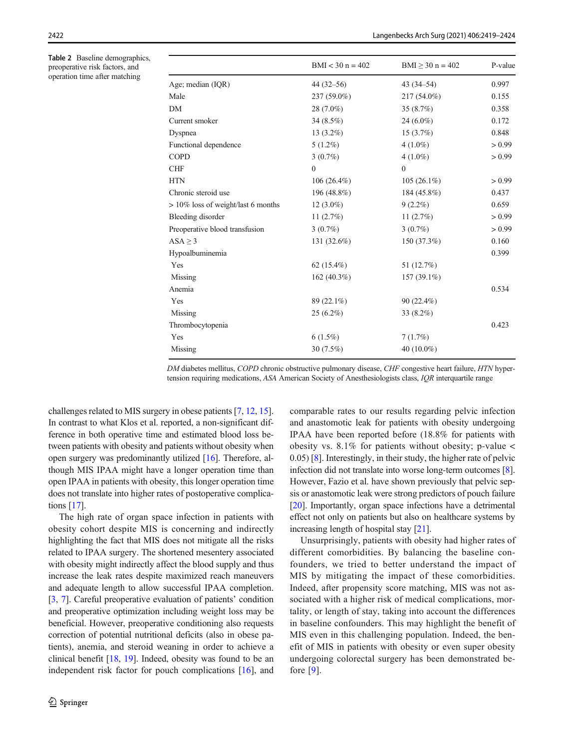<span id="page-3-0"></span>Table 2 Baseline demographics, preoperative risk factors, and operation time after matching

|                                    | $BMI < 30 n = 402$ | $BMI \ge 30$ n = 402 | P-value |
|------------------------------------|--------------------|----------------------|---------|
| Age; median (IQR)                  | $44(32 - 56)$      | $43(34 - 54)$        | 0.997   |
| Male                               | 237 (59.0%)        | 217 (54.0%)          | 0.155   |
| DΜ                                 | 28 (7.0%)          | 35(8.7%)             | 0.358   |
| Current smoker                     | 34 $(8.5\%)$       | $24(6.0\%)$          | 0.172   |
| Dyspnea                            | 13 $(3.2\%)$       | $15(3.7\%)$          | 0.848   |
| Functional dependence              | $5(1.2\%)$         | $4(1.0\%)$           | > 0.99  |
| COPD                               | $3(0.7\%)$         | $4(1.0\%)$           | > 0.99  |
| <b>CHF</b>                         | $\theta$           | $\theta$             |         |
| HTN                                | $106(26.4\%)$      | $105(26.1\%)$        | > 0.99  |
| Chronic steroid use                | 196 (48.8%)        | 184 (45.8%)          | 0.437   |
| > 10% loss of weight/last 6 months | $12(3.0\%)$        | $9(2.2\%)$           | 0.659   |
| <b>Bleeding disorder</b>           | 11 $(2.7%)$        | 11 $(2.7%)$          | > 0.99  |
| Preoperative blood transfusion     | $3(0.7\%)$         | $3(0.7\%)$           | > 0.99  |
| $ASA \geq 3$                       | 131 (32.6%)        | 150 (37.3%)          | 0.160   |
| Hypoalbuminemia                    |                    |                      | 0.399   |
| Yes                                | 62 $(15.4\%)$      | 51 (12.7%)           |         |
| Missing                            | 162 $(40.3\%)$     | 157 (39.1%)          |         |
| Anemia                             |                    |                      | 0.534   |
| Yes                                | 89 (22.1%)         | 90 (22.4%)           |         |
| Missing                            | $25(6.2\%)$        | 33 (8.2%)            |         |
| Thrombocytopenia                   |                    |                      | 0.423   |
| Yes                                | $6(1.5\%)$         | 7(1.7%)              |         |
| Missing                            | 30 $(7.5\%)$       | 40 (10.0%)           |         |

DM diabetes mellitus, COPD chronic obstructive pulmonary disease, CHF congestive heart failure, HTN hypertension requiring medications, ASA American Society of Anesthesiologists class, IQR interquartile range

challenges related to MIS surgery in obese patients [\[7](#page-5-0), [12](#page-5-0), [15\]](#page-5-0). In contrast to what Klos et al. reported, a non-significant difference in both operative time and estimated blood loss between patients with obesity and patients without obesity when open surgery was predominantly utilized [\[16](#page-5-0)]. Therefore, although MIS IPAA might have a longer operation time than open IPAA in patients with obesity, this longer operation time does not translate into higher rates of postoperative complications [[17](#page-5-0)].

The high rate of organ space infection in patients with obesity cohort despite MIS is concerning and indirectly highlighting the fact that MIS does not mitigate all the risks related to IPAA surgery. The shortened mesentery associated with obesity might indirectly affect the blood supply and thus increase the leak rates despite maximized reach maneuvers and adequate length to allow successful IPAA completion. [\[3](#page-4-0), [7\]](#page-5-0). Careful preoperative evaluation of patients' condition and preoperative optimization including weight loss may be beneficial. However, preoperative conditioning also requests correction of potential nutritional deficits (also in obese patients), anemia, and steroid weaning in order to achieve a clinical benefit [\[18](#page-5-0), [19\]](#page-5-0). Indeed, obesity was found to be an independent risk factor for pouch complications [\[16](#page-5-0)], and comparable rates to our results regarding pelvic infection and anastomotic leak for patients with obesity undergoing IPAA have been reported before (18.8% for patients with obesity vs.  $8.1\%$  for patients without obesity; p-value  $\lt$ 0.05) [[8\]](#page-5-0). Interestingly, in their study, the higher rate of pelvic infection did not translate into worse long-term outcomes [[8\]](#page-5-0). However, Fazio et al. have shown previously that pelvic sepsis or anastomotic leak were strong predictors of pouch failure [\[20](#page-5-0)]. Importantly, organ space infections have a detrimental effect not only on patients but also on healthcare systems by increasing length of hospital stay [\[21](#page-5-0)].

Unsurprisingly, patients with obesity had higher rates of different comorbidities. By balancing the baseline confounders, we tried to better understand the impact of MIS by mitigating the impact of these comorbidities. Indeed, after propensity score matching, MIS was not associated with a higher risk of medical complications, mortality, or length of stay, taking into account the differences in baseline confounders. This may highlight the benefit of MIS even in this challenging population. Indeed, the benefit of MIS in patients with obesity or even super obesity undergoing colorectal surgery has been demonstrated before [[9\]](#page-5-0).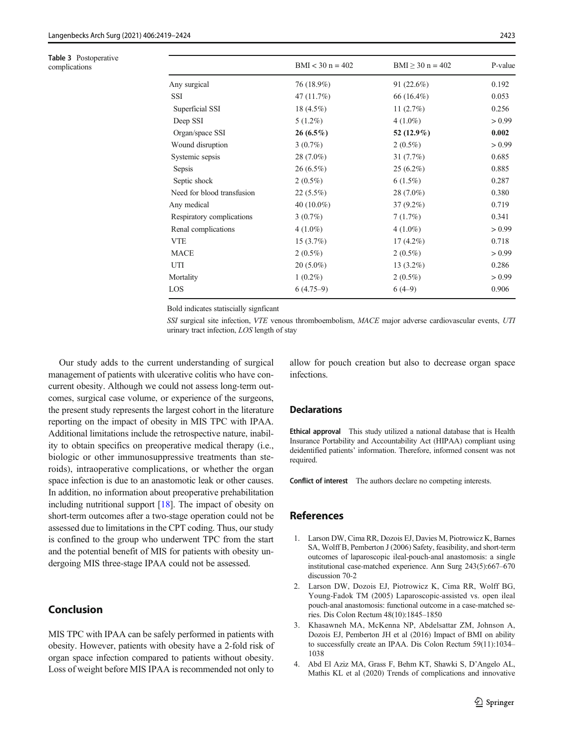<span id="page-4-0"></span>

| Table 3 Postoperative<br>complications |                            | $BMI < 30 n = 402$ | $BMI \ge 30$ n = 402 | P-value |
|----------------------------------------|----------------------------|--------------------|----------------------|---------|
|                                        | Any surgical               | 76 (18.9%)         | 91 $(22.6\%)$        | 0.192   |
|                                        | SSI                        | 47 (11.7%)         | 66 (16.4%)           | 0.053   |
|                                        | Superficial SSI            | $18(4.5\%)$        | 11 $(2.7%)$          | 0.256   |
|                                        | Deep SSI                   | $5(1.2\%)$         | $4(1.0\%)$           | > 0.99  |
|                                        | Organ/space SSI            | $26(6.5\%)$        | 52 $(12.9\%)$        | 0.002   |
|                                        | Wound disruption           | $3(0.7\%)$         | $2(0.5\%)$           | > 0.99  |
|                                        | Systemic sepsis            | $28(7.0\%)$        | 31(7.7%)             | 0.685   |
|                                        | Sepsis                     | $26(6.5\%)$        | $25(6.2\%)$          | 0.885   |
|                                        | Septic shock               | $2(0.5\%)$         | $6(1.5\%)$           | 0.287   |
|                                        | Need for blood transfusion | $22(5.5\%)$        | 28 (7.0%)            | 0.380   |
|                                        | Any medical                | 40 $(10.0\%)$      | $37(9.2\%)$          | 0.719   |
|                                        | Respiratory complications  | $3(0.7\%)$         | 7(1.7%)              | 0.341   |
|                                        | Renal complications        | $4(1.0\%)$         | $4(1.0\%)$           | > 0.99  |
|                                        | <b>VTE</b>                 | $15(3.7\%)$        | $17(4.2\%)$          | 0.718   |
|                                        | <b>MACE</b>                | $2(0.5\%)$         | $2(0.5\%)$           | > 0.99  |
|                                        | UTI                        | $20(5.0\%)$        | 13 $(3.2\%)$         | 0.286   |
|                                        | Mortality                  | $1(0.2\%)$         | $2(0.5\%)$           | > 0.99  |
|                                        | LOS                        | $6(4.75-9)$        | $6(4-9)$             | 0.906   |

Bold indicates statiscially signficant

SSI surgical site infection, VTE venous thromboembolism, MACE major adverse cardiovascular events, UTI urinary tract infection, LOS length of stay

Our study adds to the current understanding of surgical management of patients with ulcerative colitis who have concurrent obesity. Although we could not assess long-term outcomes, surgical case volume, or experience of the surgeons, the present study represents the largest cohort in the literature reporting on the impact of obesity in MIS TPC with IPAA. Additional limitations include the retrospective nature, inability to obtain specifics on preoperative medical therapy (i.e., biologic or other immunosuppressive treatments than steroids), intraoperative complications, or whether the organ space infection is due to an anastomotic leak or other causes. In addition, no information about preoperative prehabilitation including nutritional support [[18\]](#page-5-0). The impact of obesity on short-term outcomes after a two-stage operation could not be assessed due to limitations in the CPT coding. Thus, our study is confined to the group who underwent TPC from the start and the potential benefit of MIS for patients with obesity undergoing MIS three-stage IPAA could not be assessed.

# Conclusion

MIS TPC with IPAA can be safely performed in patients with obesity. However, patients with obesity have a 2-fold risk of organ space infection compared to patients without obesity. Loss of weight before MIS IPAA is recommended not only to allow for pouch creation but also to decrease organ space infections.

## **Declarations**

Ethical approval This study utilized a national database that is Health Insurance Portability and Accountability Act (HIPAA) compliant using deidentified patients' information. Therefore, informed consent was not required.

Conflict of interest The authors declare no competing interests.

## References

- 1. Larson DW, Cima RR, Dozois EJ, Davies M, Piotrowicz K, Barnes SA, Wolff B, Pemberton J (2006) Safety, feasibility, and short-term outcomes of laparoscopic ileal-pouch-anal anastomosis: a single institutional case-matched experience. Ann Surg 243(5):667–670 discussion 70-2
- 2. Larson DW, Dozois EJ, Piotrowicz K, Cima RR, Wolff BG, Young-Fadok TM (2005) Laparoscopic-assisted vs. open ileal pouch-anal anastomosis: functional outcome in a case-matched series. Dis Colon Rectum 48(10):1845–1850
- 3. Khasawneh MA, McKenna NP, Abdelsattar ZM, Johnson A, Dozois EJ, Pemberton JH et al (2016) Impact of BMI on ability to successfully create an IPAA. Dis Colon Rectum 59(11):1034– 1038
- 4. Abd El Aziz MA, Grass F, Behm KT, Shawki S, D'Angelo AL, Mathis KL et al (2020) Trends of complications and innovative